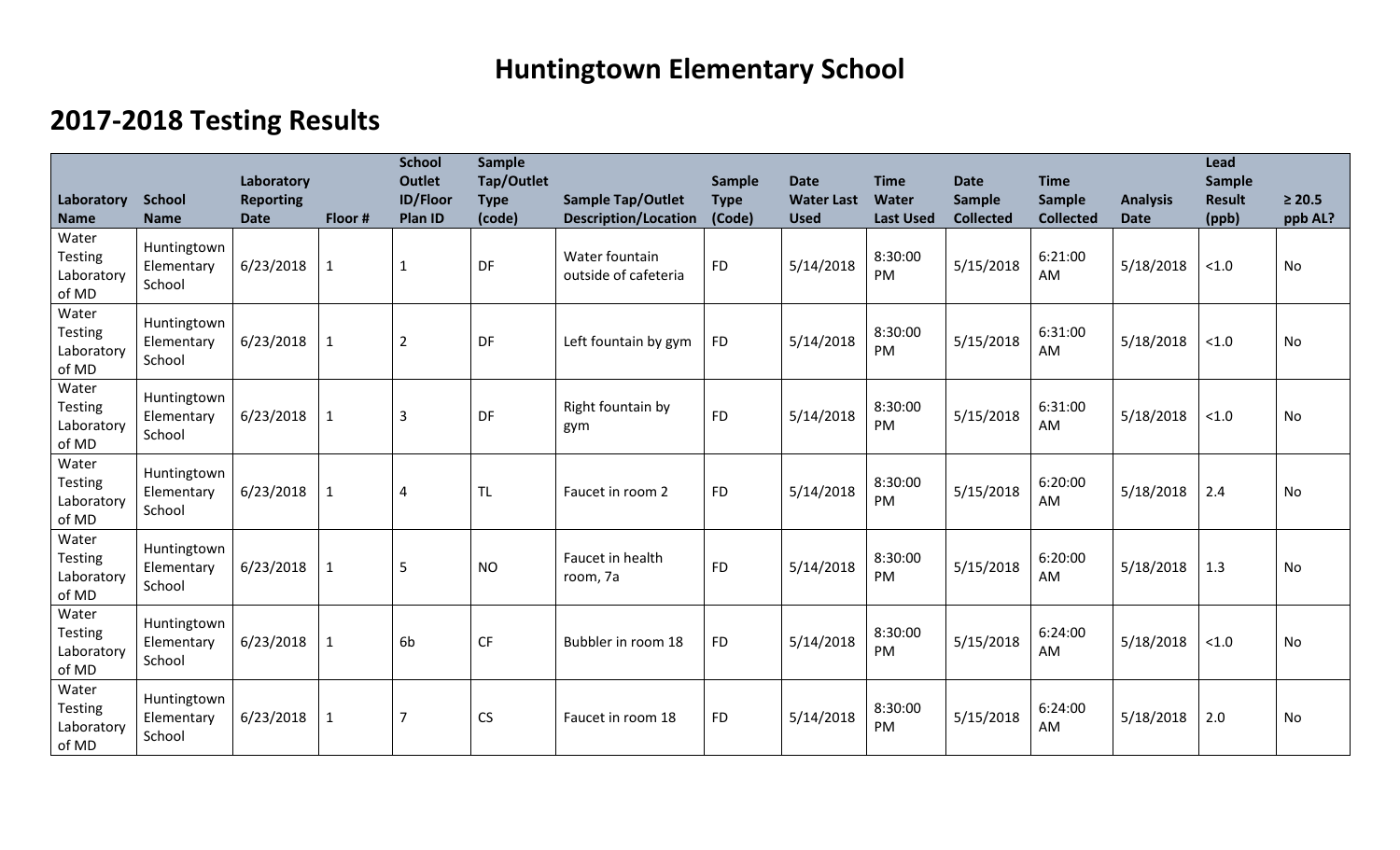## **Huntingtown Elementary School**

## **2017-2018 Testing Results**

| Laboratory<br><b>Name</b>                      | <b>School</b><br><b>Name</b>        | Laboratory<br><b>Reporting</b><br><b>Date</b> | Floor #      | <b>School</b><br><b>Outlet</b><br><b>ID/Floor</b><br>Plan ID | <b>Sample</b><br><b>Tap/Outlet</b><br><b>Type</b><br>(code) | <b>Sample Tap/Outlet</b><br><b>Description/Location</b> | Sample<br><b>Type</b><br>(Code) | <b>Date</b><br><b>Water Last</b><br><b>Used</b> | <b>Time</b><br><b>Water</b><br><b>Last Used</b> | <b>Date</b><br><b>Sample</b><br><b>Collected</b> | <b>Time</b><br>Sample<br><b>Collected</b> | <b>Analysis</b><br><b>Date</b> | <b>Lead</b><br>Sample<br><b>Result</b><br>(ppb) | $\geq 20.5$<br>ppb AL? |
|------------------------------------------------|-------------------------------------|-----------------------------------------------|--------------|--------------------------------------------------------------|-------------------------------------------------------------|---------------------------------------------------------|---------------------------------|-------------------------------------------------|-------------------------------------------------|--------------------------------------------------|-------------------------------------------|--------------------------------|-------------------------------------------------|------------------------|
| Water<br>Testing<br>Laboratory<br>of MD        | Huntingtown<br>Elementary<br>School | 6/23/2018                                     | $\mathbf{1}$ | $\mathbf{1}$                                                 | DF                                                          | Water fountain<br>outside of cafeteria                  | <b>FD</b>                       | 5/14/2018                                       | 8:30:00<br>PM                                   | 5/15/2018                                        | 6:21:00<br>AM                             | 5/18/2018                      | < 1.0                                           | <b>No</b>              |
| Water<br>Testing<br>Laboratory<br>of MD        | Huntingtown<br>Elementary<br>School | 6/23/2018                                     | $\mathbf{1}$ | $\overline{2}$                                               | DF                                                          | Left fountain by gym                                    | <b>FD</b>                       | 5/14/2018                                       | 8:30:00<br>PM                                   | 5/15/2018                                        | 6:31:00<br>AM                             | 5/18/2018                      | < 1.0                                           | <b>No</b>              |
| Water<br>Testing<br>Laboratory<br>of MD        | Huntingtown<br>Elementary<br>School | 6/23/2018                                     | $\mathbf{1}$ | $\overline{3}$                                               | DF                                                          | Right fountain by<br>gym                                | <b>FD</b>                       | 5/14/2018                                       | 8:30:00<br><b>PM</b>                            | 5/15/2018                                        | 6:31:00<br>AM                             | 5/18/2018                      | < 1.0                                           | <b>No</b>              |
| Water<br><b>Testing</b><br>Laboratory<br>of MD | Huntingtown<br>Elementary<br>School | 6/23/2018                                     | $\mathbf{1}$ | 4                                                            | <b>TL</b>                                                   | Faucet in room 2                                        | <b>FD</b>                       | 5/14/2018                                       | 8:30:00<br>PM                                   | 5/15/2018                                        | 6:20:00<br>AM                             | 5/18/2018                      | 2.4                                             | <b>No</b>              |
| Water<br><b>Testing</b><br>Laboratory<br>of MD | Huntingtown<br>Elementary<br>School | 6/23/2018                                     |              | 5                                                            | <b>NO</b>                                                   | Faucet in health<br>room, 7a                            | <b>FD</b>                       | 5/14/2018                                       | 8:30:00<br><b>PM</b>                            | 5/15/2018                                        | 6:20:00<br>AM                             | 5/18/2018                      | 1.3                                             | No                     |
| Water<br><b>Testing</b><br>Laboratory<br>of MD | Huntingtown<br>Elementary<br>School | 6/23/2018                                     | 1            | 6 <sub>b</sub>                                               | <b>CF</b>                                                   | Bubbler in room 18                                      | <b>FD</b>                       | 5/14/2018                                       | 8:30:00<br>PM                                   | 5/15/2018                                        | 6:24:00<br>AM                             | 5/18/2018                      | < 1.0                                           | <b>No</b>              |
| Water<br><b>Testing</b><br>Laboratory<br>of MD | Huntingtown<br>Elementary<br>School | 6/23/2018                                     | $\mathbf{1}$ | 7                                                            | <b>CS</b>                                                   | Faucet in room 18                                       | <b>FD</b>                       | 5/14/2018                                       | 8:30:00<br>PM                                   | 5/15/2018                                        | 6:24:00<br>AM                             | 5/18/2018                      | 2.0                                             | <b>No</b>              |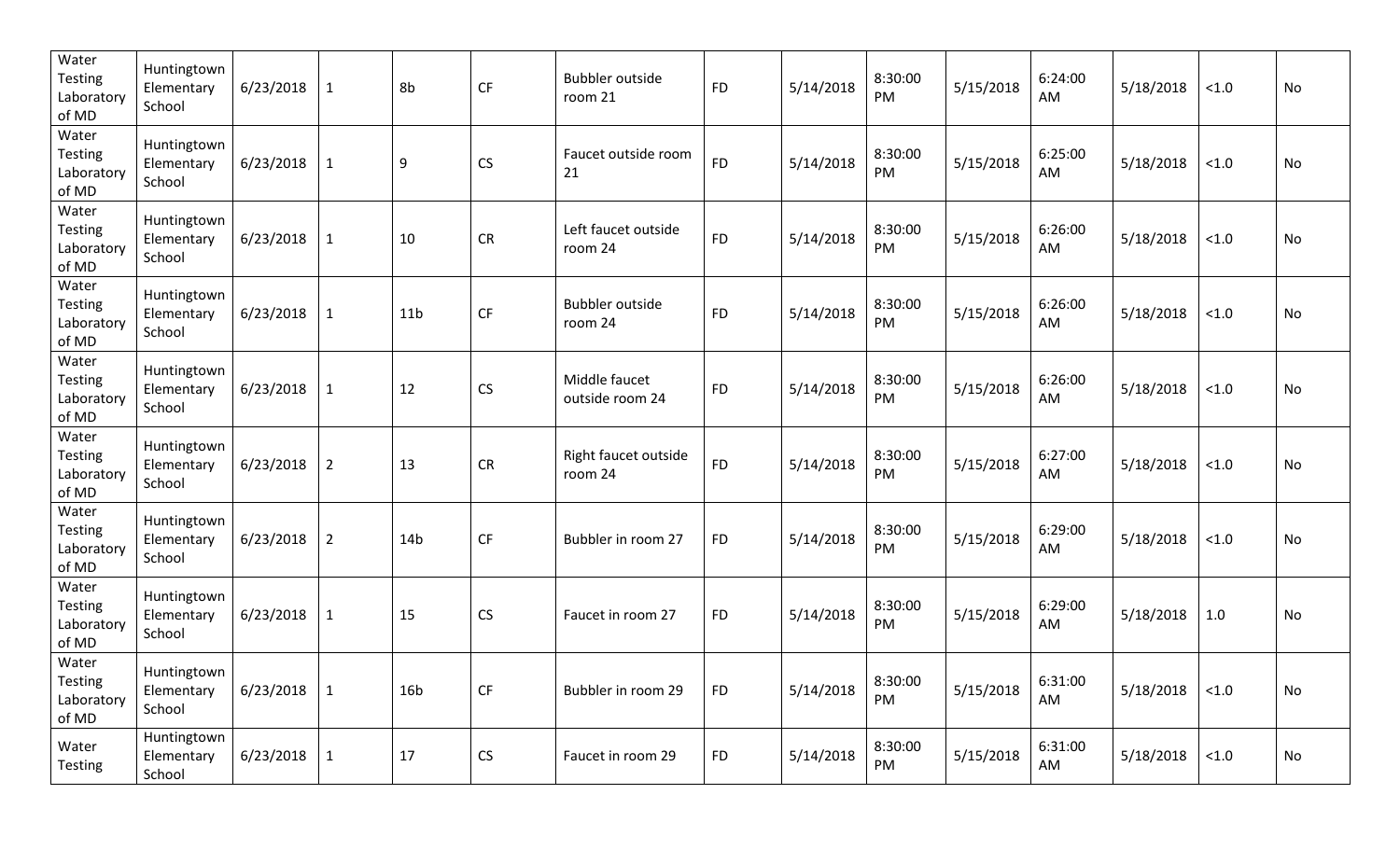| Water<br><b>Testing</b><br>Laboratory<br>of MD | Huntingtown<br>Elementary<br>School | 6/23/2018 | $\mathbf{1}$   | 8b               | CF        | <b>Bubbler outside</b><br>room 21 | <b>FD</b> | 5/14/2018 | 8:30:00<br>PM | 5/15/2018 | 6:24:00<br>AM | 5/18/2018 | < 1.0  | <b>No</b> |
|------------------------------------------------|-------------------------------------|-----------|----------------|------------------|-----------|-----------------------------------|-----------|-----------|---------------|-----------|---------------|-----------|--------|-----------|
| Water<br><b>Testing</b><br>Laboratory<br>of MD | Huntingtown<br>Elementary<br>School | 6/23/2018 | $\mathbf{1}$   | $\boldsymbol{9}$ | CS        | Faucet outside room<br>21         | <b>FD</b> | 5/14/2018 | 8:30:00<br>PM | 5/15/2018 | 6:25:00<br>AM | 5/18/2018 | < 1.0  | <b>No</b> |
| Water<br>Testing<br>Laboratory<br>of MD        | Huntingtown<br>Elementary<br>School | 6/23/2018 | $\mathbf{1}$   | 10               | CR        | Left faucet outside<br>room 24    | <b>FD</b> | 5/14/2018 | 8:30:00<br>PM | 5/15/2018 | 6:26:00<br>AM | 5/18/2018 | < 1.0  | No        |
| Water<br><b>Testing</b><br>Laboratory<br>of MD | Huntingtown<br>Elementary<br>School | 6/23/2018 | $\mathbf{1}$   | 11 <sub>b</sub>  | CF        | <b>Bubbler outside</b><br>room 24 | <b>FD</b> | 5/14/2018 | 8:30:00<br>PM | 5/15/2018 | 6:26:00<br>AM | 5/18/2018 | < 1.0  | No        |
| Water<br><b>Testing</b><br>Laboratory<br>of MD | Huntingtown<br>Elementary<br>School | 6/23/2018 | $\mathbf{1}$   | 12               | CS        | Middle faucet<br>outside room 24  | <b>FD</b> | 5/14/2018 | 8:30:00<br>PM | 5/15/2018 | 6:26:00<br>AM | 5/18/2018 | < 1.0  | No        |
| Water<br><b>Testing</b><br>Laboratory<br>of MD | Huntingtown<br>Elementary<br>School | 6/23/2018 | $\overline{2}$ | 13               | <b>CR</b> | Right faucet outside<br>room 24   | <b>FD</b> | 5/14/2018 | 8:30:00<br>PM | 5/15/2018 | 6:27:00<br>AM | 5/18/2018 | < 1.0  | No        |
| Water<br><b>Testing</b><br>Laboratory<br>of MD | Huntingtown<br>Elementary<br>School | 6/23/2018 | $\overline{2}$ | 14 <sub>b</sub>  | <b>CF</b> | Bubbler in room 27                | <b>FD</b> | 5/14/2018 | 8:30:00<br>PM | 5/15/2018 | 6:29:00<br>AM | 5/18/2018 | $<1.0$ | No        |
| Water<br><b>Testing</b><br>Laboratory<br>of MD | Huntingtown<br>Elementary<br>School | 6/23/2018 | $\mathbf{1}$   | 15               | CS        | Faucet in room 27                 | <b>FD</b> | 5/14/2018 | 8:30:00<br>PM | 5/15/2018 | 6:29:00<br>AM | 5/18/2018 | 1.0    | <b>No</b> |
| Water<br>Testing<br>Laboratory<br>of MD        | Huntingtown<br>Elementary<br>School | 6/23/2018 | $\mathbf{1}$   | 16 <sub>b</sub>  | CF        | Bubbler in room 29                | <b>FD</b> | 5/14/2018 | 8:30:00<br>PM | 5/15/2018 | 6:31:00<br>AM | 5/18/2018 | $<1.0$ | No        |
| Water<br><b>Testing</b>                        | Huntingtown<br>Elementary<br>School | 6/23/2018 | $\mathbf{1}$   | 17               | CS        | Faucet in room 29                 | <b>FD</b> | 5/14/2018 | 8:30:00<br>PM | 5/15/2018 | 6:31:00<br>AM | 5/18/2018 | $<1.0$ | No        |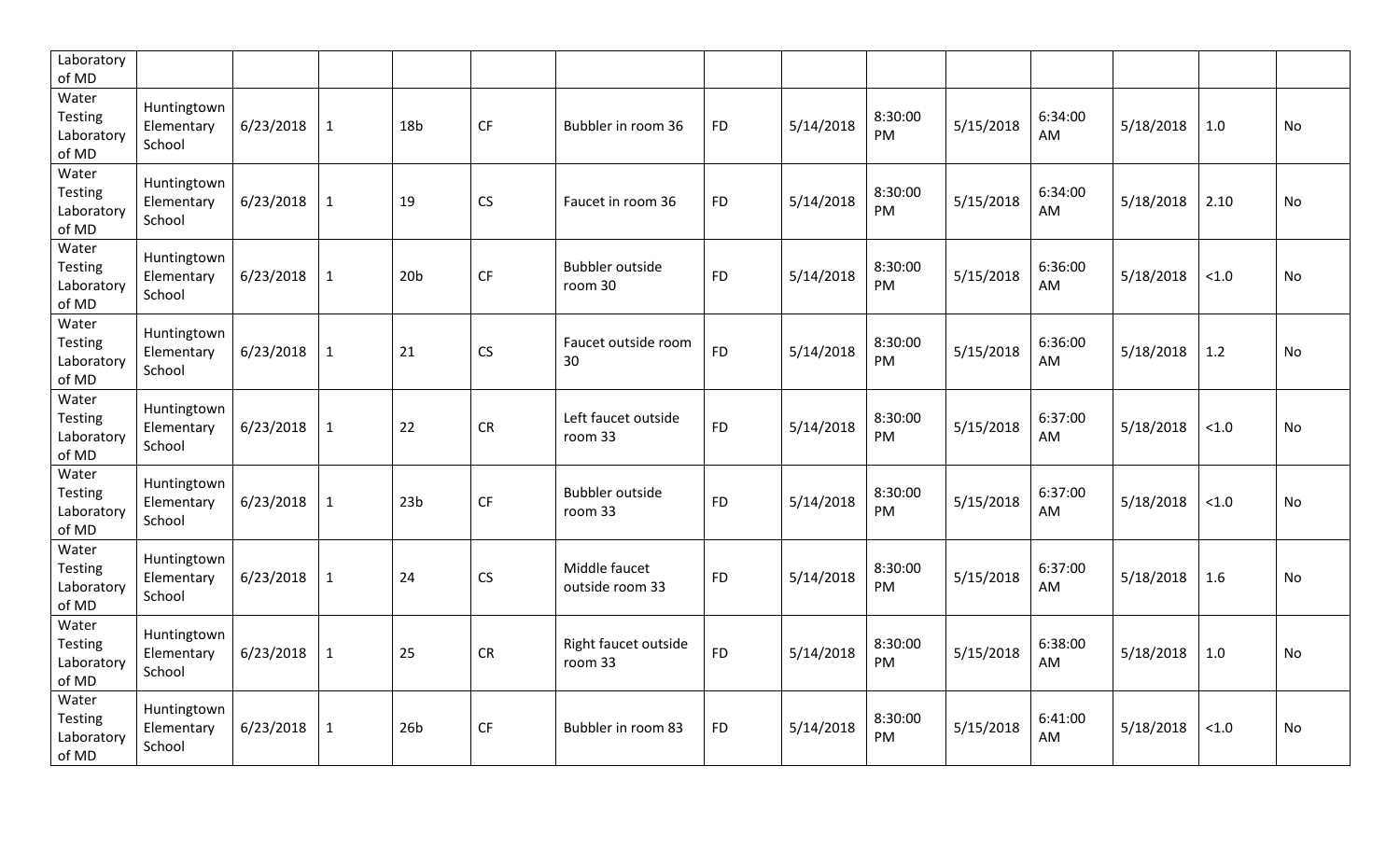| Laboratory<br>of MD                            |                                     |           |              |                 |           |                                   |           |           |                |           |               |           |       |           |
|------------------------------------------------|-------------------------------------|-----------|--------------|-----------------|-----------|-----------------------------------|-----------|-----------|----------------|-----------|---------------|-----------|-------|-----------|
| Water<br>Testing<br>Laboratory<br>of MD        | Huntingtown<br>Elementary<br>School | 6/23/2018 | $\mathbf{1}$ | 18 <sub>b</sub> | CF        | Bubbler in room 36                | <b>FD</b> | 5/14/2018 | 8:30:00<br>PM  | 5/15/2018 | 6:34:00<br>AM | 5/18/2018 | 1.0   | <b>No</b> |
| Water<br><b>Testing</b><br>Laboratory<br>of MD | Huntingtown<br>Elementary<br>School | 6/23/2018 | $\mathbf{1}$ | 19              | <b>CS</b> | Faucet in room 36                 | <b>FD</b> | 5/14/2018 | 8:30:00<br>PM. | 5/15/2018 | 6:34:00<br>AM | 5/18/2018 | 2.10  | <b>No</b> |
| Water<br>Testing<br>Laboratory<br>of MD        | Huntingtown<br>Elementary<br>School | 6/23/2018 | $\mathbf{1}$ | 20 <sub>b</sub> | CF        | <b>Bubbler outside</b><br>room 30 | <b>FD</b> | 5/14/2018 | 8:30:00<br>PM  | 5/15/2018 | 6:36:00<br>AM | 5/18/2018 | < 1.0 | <b>No</b> |
| Water<br>Testing<br>Laboratory<br>of MD        | Huntingtown<br>Elementary<br>School | 6/23/2018 | $\mathbf{1}$ | 21              | CS        | Faucet outside room<br>30         | <b>FD</b> | 5/14/2018 | 8:30:00<br>PM  | 5/15/2018 | 6:36:00<br>AM | 5/18/2018 | 1.2   | No        |
| Water<br><b>Testing</b><br>Laboratory<br>of MD | Huntingtown<br>Elementary<br>School | 6/23/2018 | $\mathbf{1}$ | 22              | CR        | Left faucet outside<br>room 33    | <b>FD</b> | 5/14/2018 | 8:30:00<br>PM  | 5/15/2018 | 6:37:00<br>AM | 5/18/2018 | < 1.0 | No        |
| Water<br>Testing<br>Laboratory<br>of MD        | Huntingtown<br>Elementary<br>School | 6/23/2018 | $\mathbf{1}$ | 23 <sub>b</sub> | CF        | <b>Bubbler outside</b><br>room 33 | <b>FD</b> | 5/14/2018 | 8:30:00<br>PM  | 5/15/2018 | 6:37:00<br>AM | 5/18/2018 | < 1.0 | <b>No</b> |
| Water<br>Testing<br>Laboratory<br>of MD        | Huntingtown<br>Elementary<br>School | 6/23/2018 | $\mathbf{1}$ | 24              | CS        | Middle faucet<br>outside room 33  | <b>FD</b> | 5/14/2018 | 8:30:00<br>PM  | 5/15/2018 | 6:37:00<br>AM | 5/18/2018 | 1.6   | <b>No</b> |
| Water<br>Testing<br>Laboratory<br>of MD        | Huntingtown<br>Elementary<br>School | 6/23/2018 | $\mathbf{1}$ | 25              | <b>CR</b> | Right faucet outside<br>room 33   | <b>FD</b> | 5/14/2018 | 8:30:00<br>PM  | 5/15/2018 | 6:38:00<br>AM | 5/18/2018 | 1.0   | <b>No</b> |
| Water<br>Testing<br>Laboratory<br>of MD        | Huntingtown<br>Elementary<br>School | 6/23/2018 | $\mathbf{1}$ | 26 <sub>b</sub> | <b>CF</b> | Bubbler in room 83                | <b>FD</b> | 5/14/2018 | 8:30:00<br>PM  | 5/15/2018 | 6:41:00<br>AM | 5/18/2018 | < 1.0 | <b>No</b> |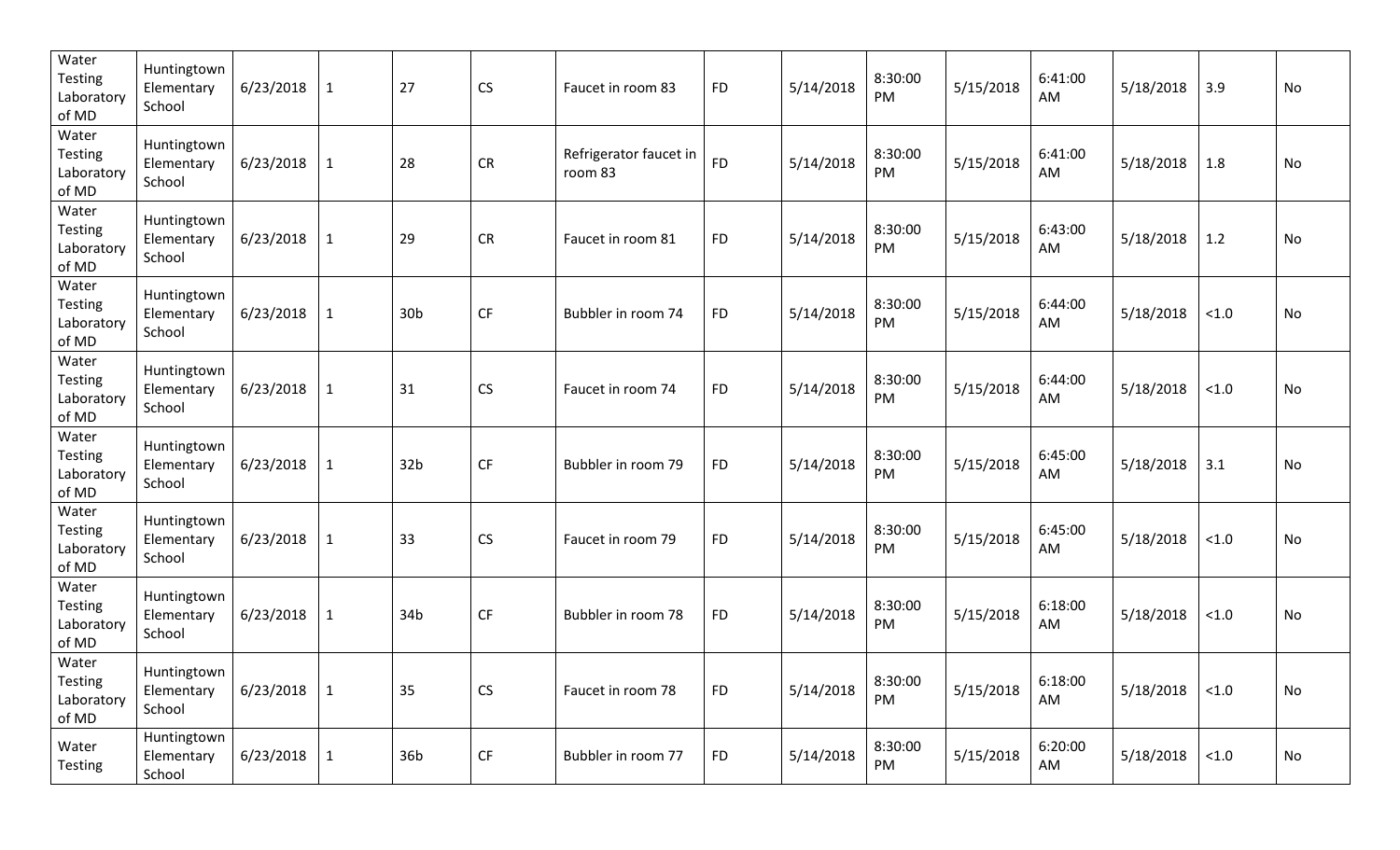| Water<br><b>Testing</b><br>Laboratory<br>of MD | Huntingtown<br>Elementary<br>School | 6/23/2018 | $\mathbf{1}$ | 27              | <b>CS</b>              | Faucet in room 83                 | <b>FD</b> | 5/14/2018 | 8:30:00<br>PM | 5/15/2018 | 6:41:00<br>AM | 5/18/2018 | 3.9    | <b>No</b> |
|------------------------------------------------|-------------------------------------|-----------|--------------|-----------------|------------------------|-----------------------------------|-----------|-----------|---------------|-----------|---------------|-----------|--------|-----------|
| Water<br><b>Testing</b><br>Laboratory<br>of MD | Huntingtown<br>Elementary<br>School | 6/23/2018 | $\mathbf{1}$ | 28              | <b>CR</b>              | Refrigerator faucet in<br>room 83 | <b>FD</b> | 5/14/2018 | 8:30:00<br>PM | 5/15/2018 | 6:41:00<br>AM | 5/18/2018 | 1.8    | <b>No</b> |
| Water<br><b>Testing</b><br>Laboratory<br>of MD | Huntingtown<br>Elementary<br>School | 6/23/2018 | $\mathbf{1}$ | 29              | <b>CR</b>              | Faucet in room 81                 | <b>FD</b> | 5/14/2018 | 8:30:00<br>PM | 5/15/2018 | 6:43:00<br>AM | 5/18/2018 | 1.2    | No        |
| Water<br><b>Testing</b><br>Laboratory<br>of MD | Huntingtown<br>Elementary<br>School | 6/23/2018 | $\mathbf{1}$ | 30 <sub>b</sub> | CF                     | Bubbler in room 74                | <b>FD</b> | 5/14/2018 | 8:30:00<br>PM | 5/15/2018 | 6:44:00<br>AM | 5/18/2018 | < 1.0  | No        |
| Water<br><b>Testing</b><br>Laboratory<br>of MD | Huntingtown<br>Elementary<br>School | 6/23/2018 | $\mathbf{1}$ | 31              | CS                     | Faucet in room 74                 | <b>FD</b> | 5/14/2018 | 8:30:00<br>PM | 5/15/2018 | 6:44:00<br>AM | 5/18/2018 | < 1.0  | No        |
| Water<br><b>Testing</b><br>Laboratory<br>of MD | Huntingtown<br>Elementary<br>School | 6/23/2018 | $\mathbf{1}$ | 32 <sub>b</sub> | <b>CF</b>              | Bubbler in room 79                | <b>FD</b> | 5/14/2018 | 8:30:00<br>PM | 5/15/2018 | 6:45:00<br>AM | 5/18/2018 | 3.1    | No        |
| Water<br><b>Testing</b><br>Laboratory<br>of MD | Huntingtown<br>Elementary<br>School | 6/23/2018 | $\mathbf{1}$ | 33              | CS                     | Faucet in room 79                 | <b>FD</b> | 5/14/2018 | 8:30:00<br>PM | 5/15/2018 | 6:45:00<br>AM | 5/18/2018 | $<1.0$ | No        |
| Water<br><b>Testing</b><br>Laboratory<br>of MD | Huntingtown<br>Elementary<br>School | 6/23/2018 | $\mathbf{1}$ | 34b             | CF                     | Bubbler in room 78                | <b>FD</b> | 5/14/2018 | 8:30:00<br>PM | 5/15/2018 | 6:18:00<br>AM | 5/18/2018 | < 1.0  | No        |
| Water<br>Testing<br>Laboratory<br>of MD        | Huntingtown<br>Elementary<br>School | 6/23/2018 | $\mathbf{1}$ | 35              | CS                     | Faucet in room 78                 | <b>FD</b> | 5/14/2018 | 8:30:00<br>PM | 5/15/2018 | 6:18:00<br>AM | 5/18/2018 | $<1.0$ | No        |
| Water<br><b>Testing</b>                        | Huntingtown<br>Elementary<br>School | 6/23/2018 | $\mathbf{1}$ | 36b             | $\mathsf{C}\mathsf{F}$ | Bubbler in room 77                | <b>FD</b> | 5/14/2018 | 8:30:00<br>PM | 5/15/2018 | 6:20:00<br>AM | 5/18/2018 | $<1.0$ | No        |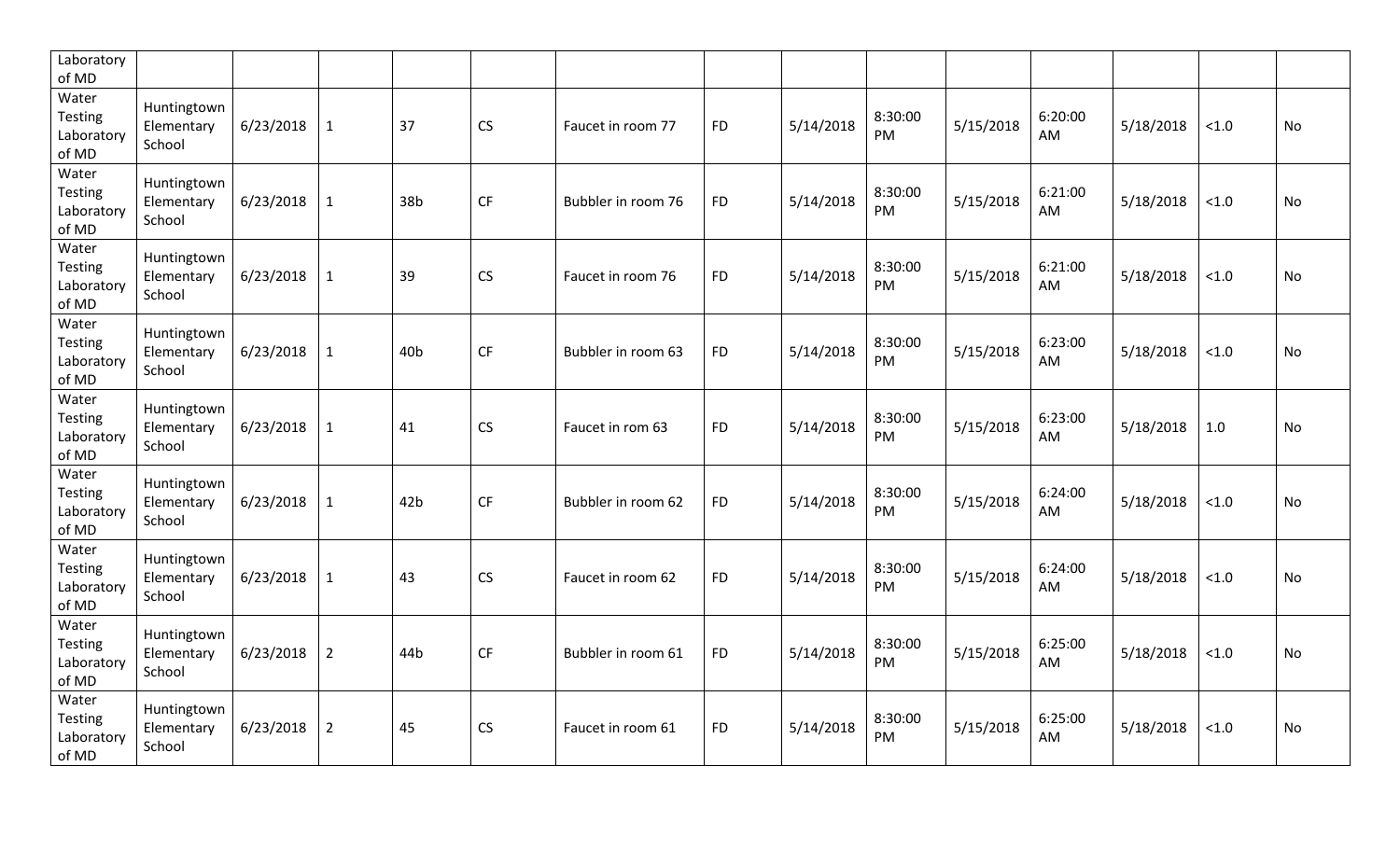| Laboratory<br>of MD                            |                                     |           |                |                 |           |                    |           |           |                |           |               |           |       |           |
|------------------------------------------------|-------------------------------------|-----------|----------------|-----------------|-----------|--------------------|-----------|-----------|----------------|-----------|---------------|-----------|-------|-----------|
| Water<br>Testing<br>Laboratory<br>of MD        | Huntingtown<br>Elementary<br>School | 6/23/2018 | $\mathbf{1}$   | 37              | <b>CS</b> | Faucet in room 77  | <b>FD</b> | 5/14/2018 | 8:30:00<br>PM  | 5/15/2018 | 6:20:00<br>AM | 5/18/2018 | < 1.0 | <b>No</b> |
| Water<br><b>Testing</b><br>Laboratory<br>of MD | Huntingtown<br>Elementary<br>School | 6/23/2018 | $\mathbf{1}$   | 38b             | <b>CF</b> | Bubbler in room 76 | <b>FD</b> | 5/14/2018 | 8:30:00<br>PM. | 5/15/2018 | 6:21:00<br>AM | 5/18/2018 | < 1.0 | <b>No</b> |
| Water<br>Testing<br>Laboratory<br>of MD        | Huntingtown<br>Elementary<br>School | 6/23/2018 | $\mathbf{1}$   | 39              | CS        | Faucet in room 76  | <b>FD</b> | 5/14/2018 | 8:30:00<br>PM  | 5/15/2018 | 6:21:00<br>AM | 5/18/2018 | < 1.0 | No        |
| Water<br>Testing<br>Laboratory<br>of MD        | Huntingtown<br>Elementary<br>School | 6/23/2018 | $\mathbf{1}$   | 40 <sub>b</sub> | CF        | Bubbler in room 63 | <b>FD</b> | 5/14/2018 | 8:30:00<br>PM  | 5/15/2018 | 6:23:00<br>AM | 5/18/2018 | < 1.0 | No        |
| Water<br>Testing<br>Laboratory<br>of MD        | Huntingtown<br>Elementary<br>School | 6/23/2018 | $\mathbf{1}$   | 41              | <b>CS</b> | Faucet in rom 63   | <b>FD</b> | 5/14/2018 | 8:30:00<br>PM  | 5/15/2018 | 6:23:00<br>AM | 5/18/2018 | 1.0   | No        |
| Water<br>Testing<br>Laboratory<br>of MD        | Huntingtown<br>Elementary<br>School | 6/23/2018 | $\mathbf{1}$   | 42 <sub>b</sub> | <b>CF</b> | Bubbler in room 62 | <b>FD</b> | 5/14/2018 | 8:30:00<br>PM  | 5/15/2018 | 6:24:00<br>AM | 5/18/2018 | < 1.0 | <b>No</b> |
| Water<br>Testing<br>Laboratory<br>of MD        | Huntingtown<br>Elementary<br>School | 6/23/2018 | $\mathbf{1}$   | 43              | CS        | Faucet in room 62  | <b>FD</b> | 5/14/2018 | 8:30:00<br>PM  | 5/15/2018 | 6:24:00<br>AM | 5/18/2018 | < 1.0 | <b>No</b> |
| Water<br>Testing<br>Laboratory<br>of MD        | Huntingtown<br>Elementary<br>School | 6/23/2018 | $\overline{2}$ | 44b             | <b>CF</b> | Bubbler in room 61 | <b>FD</b> | 5/14/2018 | 8:30:00<br>PM  | 5/15/2018 | 6:25:00<br>AM | 5/18/2018 | < 1.0 | <b>No</b> |
| Water<br>Testing<br>Laboratory<br>of MD        | Huntingtown<br>Elementary<br>School | 6/23/2018 | $\overline{2}$ | 45              | CS        | Faucet in room 61  | <b>FD</b> | 5/14/2018 | 8:30:00<br>PM  | 5/15/2018 | 6:25:00<br>AM | 5/18/2018 | < 1.0 | <b>No</b> |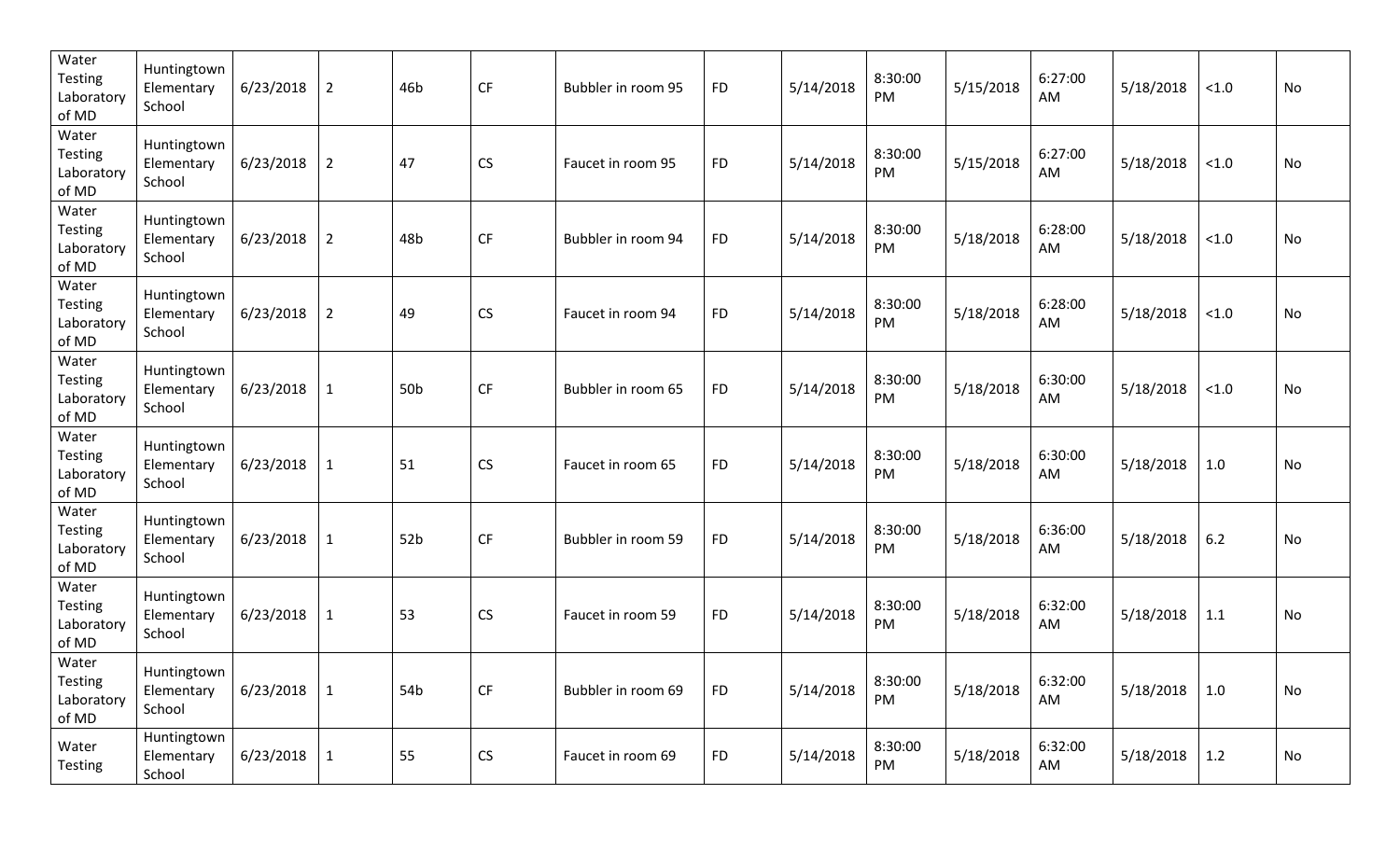| Water<br><b>Testing</b><br>Laboratory<br>of MD | Huntingtown<br>Elementary<br>School | 6/23/2018 | $\overline{2}$ | 46b             | CF        | Bubbler in room 95 | <b>FD</b> | 5/14/2018 | 8:30:00<br>PM | 5/15/2018 | 6:27:00<br>AM | 5/18/2018 | < 1.0  | No |
|------------------------------------------------|-------------------------------------|-----------|----------------|-----------------|-----------|--------------------|-----------|-----------|---------------|-----------|---------------|-----------|--------|----|
| Water<br><b>Testing</b><br>Laboratory<br>of MD | Huntingtown<br>Elementary<br>School | 6/23/2018 | $\overline{2}$ | 47              | CS        | Faucet in room 95  | <b>FD</b> | 5/14/2018 | 8:30:00<br>PM | 5/15/2018 | 6:27:00<br>AM | 5/18/2018 | < 1.0  | No |
| Water<br><b>Testing</b><br>Laboratory<br>of MD | Huntingtown<br>Elementary<br>School | 6/23/2018 | $\overline{2}$ | 48b             | CF        | Bubbler in room 94 | <b>FD</b> | 5/14/2018 | 8:30:00<br>PM | 5/18/2018 | 6:28:00<br>AM | 5/18/2018 | < 1.0  | No |
| Water<br><b>Testing</b><br>Laboratory<br>of MD | Huntingtown<br>Elementary<br>School | 6/23/2018 | $\overline{2}$ | 49              | CS        | Faucet in room 94  | <b>FD</b> | 5/14/2018 | 8:30:00<br>PM | 5/18/2018 | 6:28:00<br>AM | 5/18/2018 | < 1.0  | No |
| Water<br><b>Testing</b><br>Laboratory<br>of MD | Huntingtown<br>Elementary<br>School | 6/23/2018 | $\mathbf{1}$   | 50 <sub>b</sub> | <b>CF</b> | Bubbler in room 65 | <b>FD</b> | 5/14/2018 | 8:30:00<br>PM | 5/18/2018 | 6:30:00<br>AM | 5/18/2018 | $<1.0$ | No |
| Water<br><b>Testing</b><br>Laboratory<br>of MD | Huntingtown<br>Elementary<br>School | 6/23/2018 | $\mathbf{1}$   | 51              | CS        | Faucet in room 65  | <b>FD</b> | 5/14/2018 | 8:30:00<br>PM | 5/18/2018 | 6:30:00<br>AM | 5/18/2018 | 1.0    | No |
| Water<br><b>Testing</b><br>Laboratory<br>of MD | Huntingtown<br>Elementary<br>School | 6/23/2018 | $\mathbf{1}$   | 52 <sub>b</sub> | CF        | Bubbler in room 59 | <b>FD</b> | 5/14/2018 | 8:30:00<br>PM | 5/18/2018 | 6:36:00<br>AM | 5/18/2018 | 6.2    | No |
| Water<br><b>Testing</b><br>Laboratory<br>of MD | Huntingtown<br>Elementary<br>School | 6/23/2018 | $\mathbf{1}$   | 53              | <b>CS</b> | Faucet in room 59  | <b>FD</b> | 5/14/2018 | 8:30:00<br>PM | 5/18/2018 | 6:32:00<br>AM | 5/18/2018 | 1.1    | No |
| Water<br>Testing<br>Laboratory<br>of MD        | Huntingtown<br>Elementary<br>School | 6/23/2018 | $\mathbf{1}$   | 54b             | CF        | Bubbler in room 69 | <b>FD</b> | 5/14/2018 | 8:30:00<br>PM | 5/18/2018 | 6:32:00<br>AM | 5/18/2018 | 1.0    | No |
| Water<br><b>Testing</b>                        | Huntingtown<br>Elementary<br>School | 6/23/2018 | $\mathbf{1}$   | 55              | CS        | Faucet in room 69  | <b>FD</b> | 5/14/2018 | 8:30:00<br>PM | 5/18/2018 | 6:32:00<br>AM | 5/18/2018 | 1.2    | No |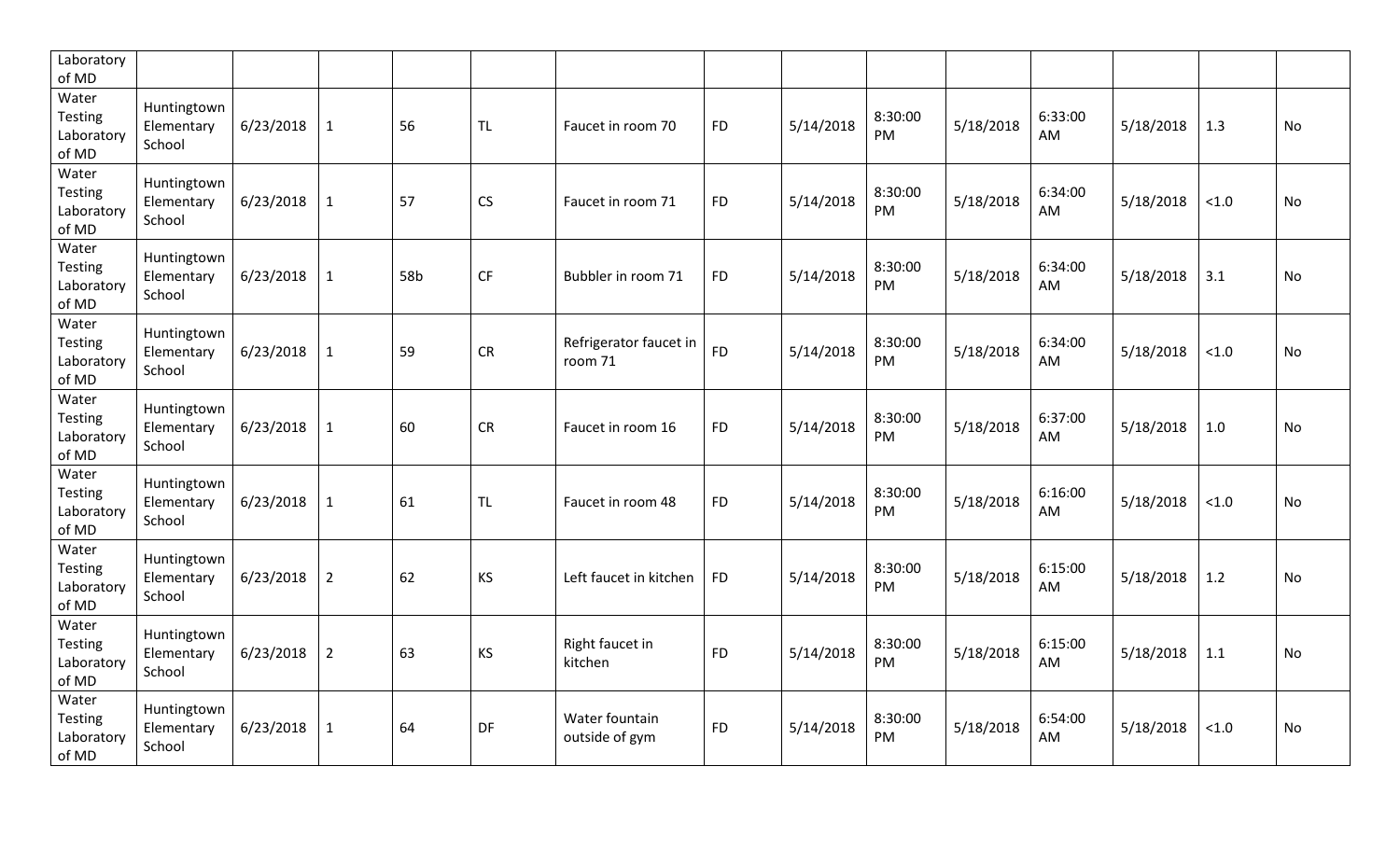| Laboratory<br>of MD                            |                                     |           |                |     |           |                                   |           |           |                |           |               |           |       |           |
|------------------------------------------------|-------------------------------------|-----------|----------------|-----|-----------|-----------------------------------|-----------|-----------|----------------|-----------|---------------|-----------|-------|-----------|
| Water<br>Testing<br>Laboratory<br>of MD        | Huntingtown<br>Elementary<br>School | 6/23/2018 | $\mathbf{1}$   | 56  | <b>TL</b> | Faucet in room 70                 | <b>FD</b> | 5/14/2018 | 8:30:00<br>PM  | 5/18/2018 | 6:33:00<br>AM | 5/18/2018 | 1.3   | <b>No</b> |
| Water<br><b>Testing</b><br>Laboratory<br>of MD | Huntingtown<br>Elementary<br>School | 6/23/2018 | $\mathbf{1}$   | 57  | CS        | Faucet in room 71                 | <b>FD</b> | 5/14/2018 | 8:30:00<br>PM. | 5/18/2018 | 6:34:00<br>AM | 5/18/2018 | < 1.0 | <b>No</b> |
| Water<br>Testing<br>Laboratory<br>of MD        | Huntingtown<br>Elementary<br>School | 6/23/2018 | $\mathbf{1}$   | 58b | <b>CF</b> | Bubbler in room 71                | <b>FD</b> | 5/14/2018 | 8:30:00<br>PM  | 5/18/2018 | 6:34:00<br>AM | 5/18/2018 | 3.1   | No        |
| Water<br>Testing<br>Laboratory<br>of MD        | Huntingtown<br>Elementary<br>School | 6/23/2018 | $\mathbf{1}$   | 59  | CR        | Refrigerator faucet in<br>room 71 | <b>FD</b> | 5/14/2018 | 8:30:00<br>PM  | 5/18/2018 | 6:34:00<br>AM | 5/18/2018 | < 1.0 | <b>No</b> |
| Water<br><b>Testing</b><br>Laboratory<br>of MD | Huntingtown<br>Elementary<br>School | 6/23/2018 | $\mathbf{1}$   | 60  | <b>CR</b> | Faucet in room 16                 | <b>FD</b> | 5/14/2018 | 8:30:00<br>PM  | 5/18/2018 | 6:37:00<br>AM | 5/18/2018 | 1.0   | No        |
| Water<br>Testing<br>Laboratory<br>of MD        | Huntingtown<br>Elementary<br>School | 6/23/2018 | $\mathbf{1}$   | 61  | <b>TL</b> | Faucet in room 48                 | <b>FD</b> | 5/14/2018 | 8:30:00<br>PM  | 5/18/2018 | 6:16:00<br>AM | 5/18/2018 | < 1.0 | <b>No</b> |
| Water<br>Testing<br>Laboratory<br>of MD        | Huntingtown<br>Elementary<br>School | 6/23/2018 | $\overline{2}$ | 62  | <b>KS</b> | Left faucet in kitchen            | <b>FD</b> | 5/14/2018 | 8:30:00<br>PM  | 5/18/2018 | 6:15:00<br>AM | 5/18/2018 | 1.2   | <b>No</b> |
| Water<br>Testing<br>Laboratory<br>of MD        | Huntingtown<br>Elementary<br>School | 6/23/2018 | $\overline{2}$ | 63  | <b>KS</b> | Right faucet in<br>kitchen        | <b>FD</b> | 5/14/2018 | 8:30:00<br>PM  | 5/18/2018 | 6:15:00<br>AM | 5/18/2018 | 1.1   | <b>No</b> |
| Water<br>Testing<br>Laboratory<br>of MD        | Huntingtown<br>Elementary<br>School | 6/23/2018 | $\mathbf{1}$   | 64  | DF        | Water fountain<br>outside of gym  | <b>FD</b> | 5/14/2018 | 8:30:00<br>PM  | 5/18/2018 | 6:54:00<br>AM | 5/18/2018 | < 1.0 | <b>No</b> |